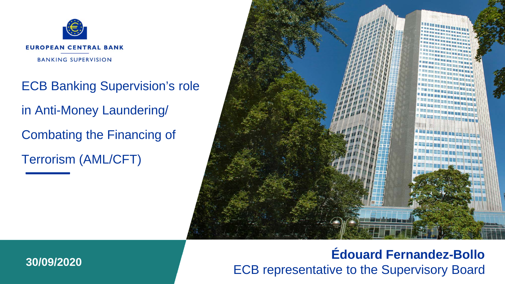

ECB Banking Supervision's role in Anti-Money Laundering/ Combating the Financing of Terrorism (AML/CFT)



## **Édouard Fernandez-Bollo** ECB representative to the Supervisory Board **30/09/2020**

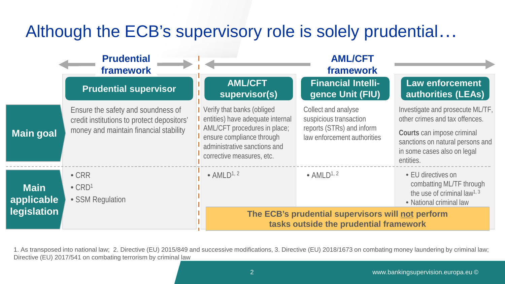## Although the ECB's supervisory role is solely prudential…

|                                                 | <b>Prudential</b><br>framework                                                                                             |                                                                                                                                                                                          | <b>AML/CFT</b><br>framework                                                                               |                                                                                                                                                                                  |
|-------------------------------------------------|----------------------------------------------------------------------------------------------------------------------------|------------------------------------------------------------------------------------------------------------------------------------------------------------------------------------------|-----------------------------------------------------------------------------------------------------------|----------------------------------------------------------------------------------------------------------------------------------------------------------------------------------|
|                                                 | <b>Prudential supervisor</b>                                                                                               | <b>AML/CFT</b><br>supervisor(s)                                                                                                                                                          | <b>Financial Intelli-</b><br>gence Unit (FIU)                                                             | <b>Law enforcement</b><br><b>authorities (LEAs)</b>                                                                                                                              |
| <b>Main goal</b>                                | Ensure the safety and soundness of<br>credit institutions to protect depositors'<br>money and maintain financial stability | Verify that banks (obliged<br>entities) have adequate internal<br>AML/CFT procedures in place;<br>ensure compliance through<br>administrative sanctions and<br>corrective measures, etc. | Collect and analyse<br>suspicious transaction<br>reports (STRs) and inform<br>law enforcement authorities | Investigate and prosecute ML/TF,<br>other crimes and tax offences.<br>Courts can impose criminal<br>sanctions on natural persons and<br>in some cases also on legal<br>entities. |
| <b>Main</b><br>applicable<br><b>legislation</b> | $\bullet$ CRR<br>$\bullet$ CRD <sup>1</sup><br>• SSM Requlation                                                            | $\bullet$ AMLD <sup>1, 2</sup>                                                                                                                                                           | $\bullet$ AMLD <sup>1, 2</sup>                                                                            | • EU directives on<br>combatting ML/TF through<br>the use of criminal law <sup>1, 3</sup><br>• National criminal law                                                             |
|                                                 |                                                                                                                            |                                                                                                                                                                                          | The ECB's prudential supervisors will not perform<br>tasks outside the prudential framework               |                                                                                                                                                                                  |

1. As transposed into national law; 2. Directive (EU) 2015/849 and successive modifications, 3. Directive (EU) 2018/1673 on combating money laundering by criminal law; Directive (EU) 2017/541 on combating terrorism by criminal law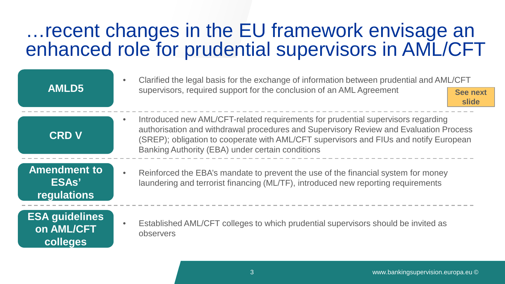## …recent changes in the EU framework envisage an enhanced role for prudential supervisors in AML/CFT

|                                                 | Clarified the legal basis for the exchange of information between prudential and AML/CFT                                                                                                                                                                                                                               |                          |  |  |
|-------------------------------------------------|------------------------------------------------------------------------------------------------------------------------------------------------------------------------------------------------------------------------------------------------------------------------------------------------------------------------|--------------------------|--|--|
| <b>AMLD5</b>                                    | supervisors, required support for the conclusion of an AML Agreement                                                                                                                                                                                                                                                   | <b>See next</b><br>slide |  |  |
| <b>CRD V</b>                                    | Introduced new AML/CFT-related requirements for prudential supervisors regarding<br>authorisation and withdrawal procedures and Supervisory Review and Evaluation Process<br>(SREP); obligation to cooperate with AML/CFT supervisors and FIUs and notify European<br>Banking Authority (EBA) under certain conditions |                          |  |  |
| <b>Amendment to</b><br>ESAs'<br>regulations     | Reinforced the EBA's mandate to prevent the use of the financial system for money<br>laundering and terrorist financing (ML/TF), introduced new reporting requirements                                                                                                                                                 |                          |  |  |
| <b>ESA guidelines</b><br>on AML/CFT<br>colleges | Established AML/CFT colleges to which prudential supervisors should be invited as<br>observers                                                                                                                                                                                                                         |                          |  |  |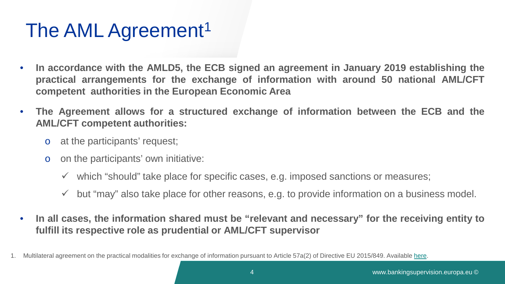# The AML Agreement<sup>1</sup>

- **In accordance with the AMLD5, the ECB signed an agreement in January 2019 establishing the practical arrangements for the exchange of information with around 50 national AML/CFT competent authorities in the European Economic Area**
- **The Agreement allows for a structured exchange of information between the ECB and the AML/CFT competent authorities:**
	- o at the participants' request;
	- o on the participants' own initiative:
		- $\checkmark$  which "should" take place for specific cases, e.g. imposed sanctions or measures;
		- $\checkmark$  but "may" also take place for other reasons, e.g. to provide information on a business model.
- **In all cases, the information shared must be "relevant and necessary" for the receiving entity to fulfill its respective role as prudential or AML/CFT supervisor**

<sup>1.</sup> Multilateral agreement on the practical modalities for exchange of information pursuant to Article 57a(2) of Directive EU 2015/849. Available [here](https://eba.europa.eu/esas-announce-multilateral-agreement-on-the-exchange-of-information-between-the-ecb-and-aml-cft-competent-authorities).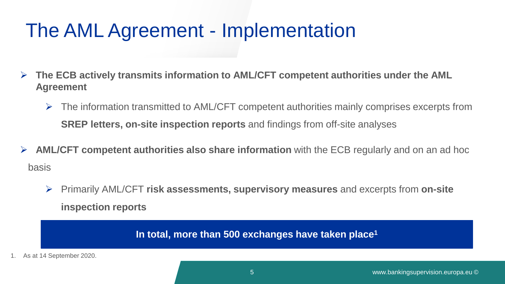## The AML Agreement - Implementation

- **The ECB actively transmits information to AML/CFT competent authorities under the AML Agreement**
	- $\triangleright$  The information transmitted to AML/CFT competent authorities mainly comprises excerpts from **SREP letters, on-site inspection reports** and findings from off-site analyses
- **AML/CFT competent authorities also share information** with the ECB regularly and on an ad hoc basis
	- Primarily AML/CFT **risk assessments, supervisory measures** and excerpts from **on-site inspection reports**

**In total, more than 500 exchanges have taken place1**

1. As at 14 September 2020.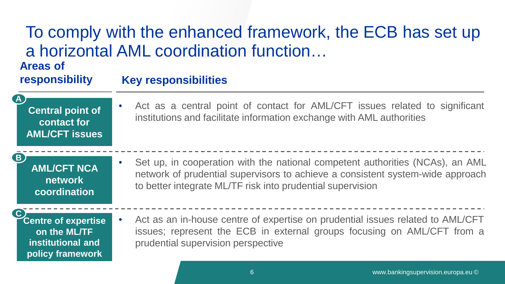### To comply with the enhanced framework, the ECB has set up a horizontal AML coordination function… **Areas of responsibility Key responsibilities**

**Central point of contact for AML/CFT issues**

**A**

**B**

• Act as a central point of contact for AML/CFT issues related to significant institutions and facilitate information exchange with AML authorities

**AML/CFT NCA network coordination**

• Set up, in cooperation with the national competent authorities (NCAs), an AML network of prudential supervisors to achieve a consistent system-wide approach to better integrate ML/TF risk into prudential supervision

**Centre of expertise on the ML/TF institutional and policy framework C**

• Act as an in-house centre of expertise on prudential issues related to AML/CFT issues; represent the ECB in external groups focusing on AML/CFT from a prudential supervision perspective